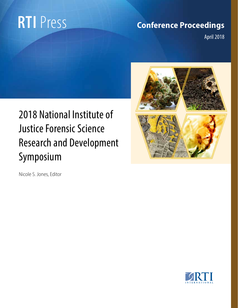# **RTI** Press

# **Conference Proceedings**

April 2018

# 2018 National Institute of Justice Forensic Science Research and Development Symposium



Nicole S. Jones, Editor

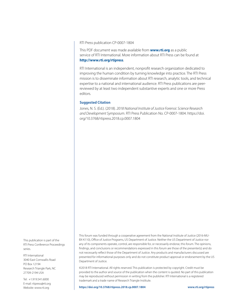RTI Press publication CP-0007-1804

This PDF document was made available from **www.rti.org** as a public service of RTI International. More information about RTI Press can be found at **http://www.rti.org/rtipress**.

RTI International is an independent, nonprofit research organization dedicated to improving the human condition by turning knowledge into practice. The RTI Press mission is to disseminate information about RTI research, analytic tools, and technical expertise to a national and international audience. RTI Press publications are peerreviewed by at least two independent substantive experts and one or more Press editors.

#### **Suggested Citation**

Jones, N. S. (Ed.). (2018). *2018 National Institute of Justice Forensic Science Research and Development Symposium*. RTI Press Publication No. CP-0007-1804. https://doi. org/10.3768/rtipress.2018.cp.0007.1804

This publication is part of the RTI Press Conference Proceedings series.

RTI International 3040 East Cornwallis Road PO Box 12194 Research Triangle Park, NC 27709-2194 USA

Tel: +1.919.541.6000 E-mail: rtipress@rti.org Website: www.rti.org

This forum was funded through a cooperative agreement from the National Institute of Justice (2016-MU-BX-K110), Office of Justice Programs, US Department of Justice. Neither the US Department of Justice nor any of its components operate, control, are responsible for, or necessarily endorse, this forum. The opinions, findings, and conclusions or recommendations expressed in this forum are those of the presenter(s) and do not necessarily reflect those of the Department of Justice. Any products and manufacturers discussed are presented for informational purposes only and do not constitute product approval or endorsement by the US Department of Justice.

©2018 RTI International. All rights reserved. This publication is protected by copyright. Credit must be provided to the author and source of the publication when the content is quoted. No part of this publication may be reproduced without permission in writing from the publisher. RTI International is a registered trademark and a trade name of Research Triangle Institute.

**https://doi.org/10.3768/rtipress.2018.cp.0007.1804 www.rti.org/rtipress**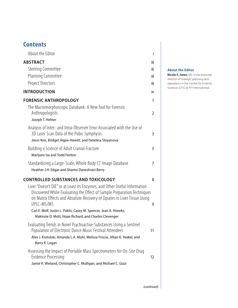# **Contents**

| About the Editor                                                                                                                                                                                                                                                                                                    |                |
|---------------------------------------------------------------------------------------------------------------------------------------------------------------------------------------------------------------------------------------------------------------------------------------------------------------------|----------------|
| <b>ABSTRACT</b>                                                                                                                                                                                                                                                                                                     | iii            |
| <b>Steering Committee</b>                                                                                                                                                                                                                                                                                           | iii            |
| Planning Committee                                                                                                                                                                                                                                                                                                  | iii            |
| Project Directors                                                                                                                                                                                                                                                                                                   | iii            |
| <b>INTRODUCTION</b>                                                                                                                                                                                                                                                                                                 | iv             |
| <b>FORENSIC ANTHROPOLOGY</b>                                                                                                                                                                                                                                                                                        | 1              |
| The Macromorphoscopic Databank: A New Tool for Forensic<br>Anthropologists<br>Joseph T. Hefner                                                                                                                                                                                                                      | $\overline{2}$ |
| Analysis of Inter- and Intra-Observer Error Associated with the Use of<br>3D Laser Scan Data of the Pubic Symphysis<br>Jieun Kim, Bridget Algee-Hewitt, and Detelina Stoyanova                                                                                                                                      | 3              |
| Building a Science of Adult Cranial Fracture<br>Mariyam Isa and Todd Fenton                                                                                                                                                                                                                                         | 5              |
| Standardizing a Large-Scale, Whole Body CT Image Database<br>Heather J.H. Edgar and Shamsi Daneshvari Berry                                                                                                                                                                                                         | 7              |
| <b>CONTROLLED SUBSTANCES AND TOXICOLOGY</b>                                                                                                                                                                                                                                                                         | 8              |
| Liver "Doesn't DIE" or at Least its Enzymes, and Other Useful Information<br>Discovered While Evaluating the Effect of Sample Preparation Techniques<br>on Matrix Effects and Absolute Recovery of Opiates in Liver Tissue Using<br>UPLC-MS/MS<br>Carl E. Wolf, Justin L. Poklis, Casey M. Spencer, Jean A. Heneks, | 9              |
| Makinzie D. Mott, Hope Richard, and Charles Clevenger                                                                                                                                                                                                                                                               |                |
| Evaluating Trends in Novel Psychoactive Substances Using a Sentinel<br>Population of Electronic Dance Music Festival Attendees<br>Alex J. Krotulski, Amanda L.A. Mohr, Melissa Friscia, Jillian K. Yeakel, and<br>Barry K. Logan                                                                                    | 11             |
| Assessing the Impact of Portable Mass Spectrometers for On-Site Drug<br><b>Evidence Processing</b><br>Jamie R. Wieland, Christopher C. Mulligan, and Michael C. Gizzi                                                                                                                                               | 12             |

# **About the Editor**

**Nicole S. Jones**, MS, is the associate director of strategic planning and operations in the Center for Forensic Sciences (CFS) at RTI International.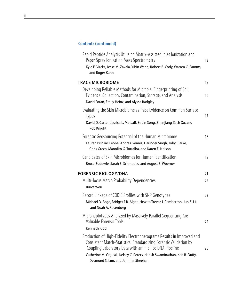# **Contents (continued)**

| Rapid Peptide Analysis Utilizing Matrix-Assisted Inlet Ionization and<br>Paper Spray Ionization Mass Spectrometry<br>Kyle E. Vircks, Jesse M. Zavala, Yibin Wang, Robert B. Cody, Warren C. Samms,<br>and Roger Kahn                                                                                                       | 13 |
|----------------------------------------------------------------------------------------------------------------------------------------------------------------------------------------------------------------------------------------------------------------------------------------------------------------------------|----|
| <b>TRACE MICROBIOME</b>                                                                                                                                                                                                                                                                                                    | 15 |
| Developing Reliable Methods for Microbial Fingerprinting of Soil<br>Evidence: Collection, Contamination, Storage, and Analysis<br>David Foran, Emily Heinz, and Alyssa Badgley                                                                                                                                             | 16 |
| Evaluating the Skin Microbiome as Trace Evidence on Common Surface<br><b>Types</b><br>David O. Carter, Jessica L. Metcalf, Se Jin Song, Zhenjiang Zech Xu, and<br>Rob Knight                                                                                                                                               | 17 |
| Forensic Geosourcing Potential of the Human Microbiome<br>Lauren Brinkac Leone, Andres Gomez, Harinder Singh, Toby Clarke,<br>Chris Greco, Manolito G. Torralba, and Karen E. Nelson                                                                                                                                       | 18 |
| Candidates of Skin Microbiomes for Human Identification<br>Bruce Budowle, Sarah E. Schmedes, and August E. Woerner                                                                                                                                                                                                         | 19 |
| <b>FORENSIC BIOLOGY/DNA</b>                                                                                                                                                                                                                                                                                                | 21 |
| Multi-locus Match Probability Dependencies<br><b>Bruce Weir</b>                                                                                                                                                                                                                                                            | 22 |
| Record Linkage of CODIS Profiles with SNP Genotypes<br>Michael D. Edge, Bridget F.B. Algee-Hewitt, Trevor J. Pemberton, Jun Z. Li,<br>and Noah A. Rosenberg                                                                                                                                                                | 23 |
| Microhaplotypes Analyzed by Massively Parallel Sequencing Are<br>Valuable Forensic Tools<br>Kenneth Kidd                                                                                                                                                                                                                   | 24 |
| Production of High-Fidelity Electropherograms Results in Improved and<br>Consistent Match-Statistics: Standardizing Forensic Validation by<br>Coupling Laboratory Data with an In Silico DNA Pipeline<br>Catherine M. Grgicak, Kelsey C. Peters, Harish Swaminathan, Ken R. Duffy,<br>Desmond S. Lun, and Jennifer Sheehan | 25 |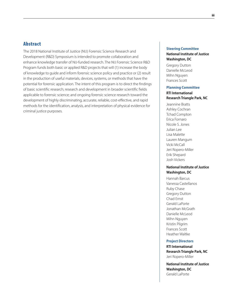# Abstract

The 2018 National Institute of Justice (NIJ) Forensic Science Research and Development (R&D) Symposium is intended to promote collaboration and enhance knowledge transfer of NIJ-funded research. The NIJ Forensic Science R&D Program funds both basic or applied R&D projects that will (1) increase the body of knowledge to guide and inform forensic science policy and practice or (2) result in the production of useful materials, devices, systems, or methods that have the potential for forensic application. The intent of this program is to direct the findings of basic scientific research; research and development in broader scientific fields applicable to forensic science; and ongoing forensic science research toward the development of highly discriminating, accurate, reliable, cost-effective, and rapid methods for the identification, analysis, and interpretation of physical evidence for criminal justice purposes.

# **Steering Committee National Institute of Justice Washington, DC**

Gregory Dutton Danielle McLeod Mihn Nguyen Frances Scott

#### **Planning Committee**

# **RTI International Research Triangle Park, NC**

Jeannine Bratts Ashley Cochran Tchad Compton Erica Fornaro Nicole S. Jones Julian Lee Lisa Malette Lauren Mangum Vicki McCall Jeri Ropero-Miller Erik Shepard Josh Vickers

### **National Institute of Justice Washington, DC**

Hannah Barcus Vanessa Castellanos Ruby Chase Gregory Dutton Chad Ernst Gerald LaPorte Jonathan McGrath Danielle McLeod Mihn Nguyen Kristin Pilgrim Frances Scott Heather Waltke

#### **Project Directors**

**RTI International Research Triangle Park, NC** Jeri Ropero-Miller

**National Institute of Justice Washington, DC** Gerald LaPorte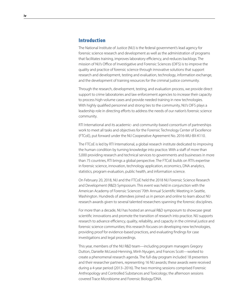# Introduction

The National Institute of Justice (NIJ) is the federal government's lead agency for forensic science research and development as well as the administration of programs that facilitates training, improves laboratory efficiency, and reduces backlogs. The mission of NIJ's Office of Investigative and Forensic Sciences (OIFS) is to improve the quality and practice of forensic science through innovative solutions that support research and development, testing and evaluation, technology, information exchange, and the development of training resources for the criminal justice community.

Through the research, development, testing, and evaluation process, we provide direct support to crime laboratories and law enforcement agencies to increase their capacity to process high-volume cases and provide needed training in new technologies. With highly qualified personnel and strong ties to the community, NIJ's OIFS plays a leadership role in directing efforts to address the needs of our nation's forensic science community.

RTI International and its academic- and community-based consortium of partnerships work to meet all tasks and objectives for the Forensic Technology Center of Excellence (FTCoE), put forward under the NIJ Cooperative Agreement No. 2016-MU-BX-K110.

The FTCoE is led by RTI International, a global research institute dedicated to improving the human condition by turning knowledge into practice. With a staff of more than 5,000 providing research and technical services to governments and businesses in more than 75 countries, RTI brings a global perspective. The FTCoE builds on RTI's expertise in forensic science, innovation, technology application, economics, DNA analytics, statistics, program evaluation, public health, and information science.

On February 20, 2018, NIJ and the FTCoE held the 2018 NIJ Forensic Science Research and Development (R&D) Symposium. This event was held in conjunction with the American Academy of Forensic Sciences' 70th Annual Scientific Meeting in Seattle, Washington. Hundreds of attendees joined us in person and online to learn about NIJ research awards given to several talented researchers spanning the forensic disciplines.

For more than a decade, NIJ has hosted an annual R&D symposium to showcase great scientific innovations and promote the transition of research into practice. NIJ supports research to advance efficiency, quality, reliability, and capacity in the criminal justice and forensic science communities; this research focuses on developing new technologies, providing proof for evidence-based practices, and evaluating findings for case investigations and legal proceedings.

This year, members of the NIJ R&D team—including program managers Gregory Dutton, Danielle McLeod-Henning, Minh Nyugen, and Frances Scott—worked to create a phenomenal research agenda. The full-day program included 18 presenters and their researcher partners, representing 16 NIJ awards; these awards were received during a 4-year period (2013–2016). The two morning sessions comprised Forensic Anthropology and Controlled Substances and Toxicology; the afternoon sessions covered Trace Microbiome and Forensic Biology/DNA.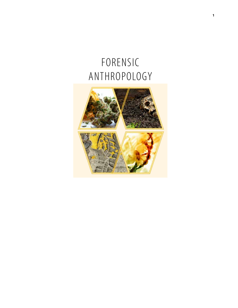# FORENSIC ANTHROPOLOGY

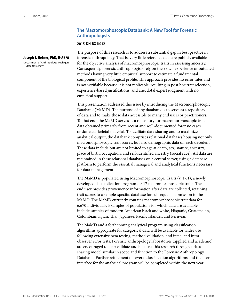State University

**Joseph T. Hefner, PhD, D-ABFA**  Department of Anthropology, Michigan

# **The Macromorphoscopic Databank: A New Tool for Forensic Anthropologists**

#### **2015-DN-BX-K012**

The purpose of this research is to address a substantial gap in best practice in forensic anthropology. That is, very little reference data are publicly available for the objective analysis of macromorphoscopic traits in assessing ancestry. Consequently, forensic anthropologists rely on their own experience or outdated methods having very little empirical support to estimate a fundamental component of the biological profile. This approach provides no error rates and is not verifiable because it is not replicable, resulting in post hoc trait selection, experience-based justifications, and anecdotal expert judgment with no empirical support.

This presentation addressed this issue by introducing the Macromorphoscopic Databank (MaMD). The purpose of any databank is to serve as a repository of data and to make those data accessible to many end users or practitioners. To that end, the MaMD serves as a repository for macromorphoscopic trait data obtained primarily from recent and well-documented forensic cases or donated skeletal material. To facilitate data sharing and to maximize analytical output, the databank comprises relational databases housing not only macromorphoscopic trait scores, but also demographic data on each decedent. These data include but are not limited to age at death, sex, stature, ancestry, place of birth, occupation, and self-identified ancestry (social race). All data are maintained in these relational databases on a central server, using a database platform to perform the essential managerial and analytical functions necessary for data management.

The MaMD is populated using Macromorphoscopic Traits (v. 1.61), a newly developed data collection program for 17 macromorphoscopic traits. The end user provides provenience information after data are collected, retaining trait scores to a sample-specific database for subsequent submission to the MaMD. The MaMD currently contains macromorphoscopic trait data for 6,670 individuals. Examples of populations for which data are available include samples of modern American black and white, Hispanic, Guatemalan, Colombian, Fijian, Thai, Japanese, Pacific Islander, and Peruvian.

The MaMD and a forthcoming analytical program using classification algorithms appropriate for categorical data will be available for wider use following extensive beta testing, method validation, and inter- and intraobserver error tests. Forensic anthropology laboratories (applied and academic) are encouraged to help validate and beta test this research through a datasharing model similar in scope and function to the Forensic Anthropology Databank. Further refinement of several classification algorithms and the user interface for the analytical program will be completed within the next year.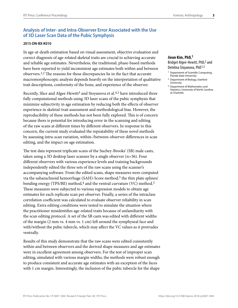# **Analysis of Inter- and Intra-Observer Error Associated with the Use of 3D Laser Scan Data of the Pubic Symphysis**

### **2015-DN-BX-K010**

In age-at-death estimation based on visual assessment, objective evaluation and correct diagnosis of age-related skeletal traits are crucial to achieving accurate and reliable age estimates. Nevertheless, the traditional, phase-based methods have been reported to yield inconsistent age estimates both within and between observers.1,2 The reasons for these discrepancies lie in the fact that accurate macromorphoscopic analysis depends heavily on the interpretation of qualitative trait descriptions, conformity of the bone, and experience of the observer.

Recently, Slice and Algee-Hewitt<sup>3</sup> and Stoyanova et al.<sup>4,5</sup> have introduced three fully computational methods using 3D laser scans of the pubic symphysis that minimize subjectivity in age estimation by reducing both the effects of observer experience in skeletal-trait assessment and methodological bias. However, the reproducibility of these methods has not been fully explored. This is of concern because there is potential for introducing error in the scanning and editing of the raw scans at different times by different observers. In response to this concern, the current study evaluated the repeatability of these novel methods by assessing intra-scan variation, within-/between-observer differences in scan editing, and the impact on age estimation.

The test data represent triplicate scans of the Suchey-Brooks' (SB) male casts, taken using a 3D desktop laser scanner by a single observer (n=36). Four different observers with various experience levels and training backgrounds independently edited the three sets of the raw scans using the scanner's accompanying software. From the edited scans, shape measures were computed via the subarachnoid hemorrhage (SAH)-Score method,<sup>3</sup> the thin plate splines/ bending energy (TPS/BE) method, $4$  and the ventral curvature (VC) method.<sup>5</sup> These measures were subjected to various regression models to obtain age estimates for each replicate scan per observer. Finally, a series of the intraclass correlation coefficient was calculated to evaluate observer reliability in scan editing. Extra editing conditions were tested to simulate the situation where the practitioner misidentifies age-related traits because of unfamiliarity with the scan editing protocol. A set of the SB casts was edited with different widths of the margin (2 mm vs. 4 mm vs. 1 cm) left around the symphyseal face and with/without the pubic tubercle, which may affect the VC values as it protrudes ventrally.

Results of this study demonstrate that the raw scans were edited consistently within and between observers and the derived shape measures and age estimates were in excellent agreement among observers. For the test of improper scan editing, simulated with various margin widths, the methods were robust enough to produce consistent and accurate age estimates with an exception of the faces with 1 cm margin. Interestingly, the inclusion of the pubic tubercle for the shape

# **Jieun Kim, PhD,1**  Bridget Algee-Hewitt, PhD,2 and

Detelina Stoyanova, PhD1,3

- 1 Department of Scientific Computing, Florida State University
- 2 Department of Biology, Stanford University
- 3 Department of Mathematics and Statistics, University of North Carolina at Charlotte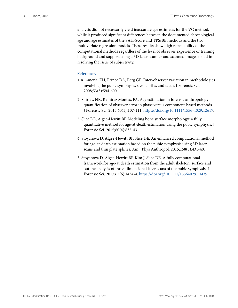analysis did not necessarily yield inaccurate age estimates for the VC method, while it produced significant differences between the documented chronological age and age estimates of the SAH-Score and TPS/BE methods and the two multivariate regression models. These results show high repeatability of the computational methods regardless of the level of observer experience or training background and support using a 3D laser scanner and scanned images to aid in resolving the issue of subjectivity.

# **References**

- 1. Kimmerle, EH, Prince DA, Berg GE. Inter‐observer variation in methodologies involving the pubic symphysis, sternal ribs, and teeth. J Forensic Sci. 2008;53(3):594-600.
- 2. Shirley, NR, Ramirez Montes, PA. Age estimation in forensic anthropology: quantification of observer error in phase versus component-based methods. J Forensic Sci. 2015;60(1):107-111. https://doi.org/10.1111/1556-4029.12617.
- 3. Slice DE, Algee-Hewitt BF. Modeling bone surface morphology: a fully quantitative method for age-at‐death estimation using the pubic symphysis. J Forensic Sci. 2015;60(4):835-43.
- 4. Stoyanova D, Algee‐Hewitt BF, Slice DE. An enhanced computational method for age‐at‐death estimation based on the pubic symphysis using 3D laser scans and thin plate splines. Am J Phys Anthropol. 2015;158(3):431-40.
- 5. Stoyanova D, Algee‐Hewitt BF, Kim J, Slice DE. A fully computational framework for age-at death estimation from the adult skeleton: surface and outline analysis of three-dimensional laser scans of the pubic symphysis. J Forensic Sci. 2017;62(6):1434-4. https://doi.org/10.1111/15564029.13439.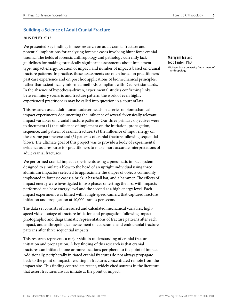# **Building a Science of Adult Cranial Fracture**

### **2015-DN-BX-K013**

We presented key findings in new research on adult cranial fracture and potential implications for analyzing forensic cases involving blunt force cranial trauma. The fields of forensic anthropology and pathology currently lack guidelines for making forensically significant assessments about implement type, impact energy, location of impact, and number of impacts based on cranial fracture patterns. In practice, these assessments are often based on practitioners' past case experience and on post hoc applications of biomechanical principles, rather than scientifically informed methods compliant with Daubert standards. In the absence of hypothesis-driven, experimental studies confirming links between injury scenario and fracture pattern, the work of even highly experienced practitioners may be called into question in a court of law.

This research used adult human cadaver heads in a series of biomechanical impact experiments documenting the influence of several forensically relevant impact variables on cranial fracture patterns. Our three primary objectives were to document (1) the influence of implement on the initiation, propagation, sequence, and pattern of cranial fracture; (2) the influence of input energy on these same parameters; and (3) patterns of cranial fracture following sequential blows. The ultimate goal of this project was to provide a body of experimental evidence as a resource for practitioners to make more accurate interpretations of adult cranial fractures.

We performed cranial impact experiments using a pneumatic impact system designed to simulate a blow to the head of an upright individual using three aluminum impactors selected to approximate the shapes of objects commonly implicated in forensic cases: a brick, a baseball bat, and a hammer. The effects of impact energy were investigated in two phases of testing: the first with impacts performed at a base energy level and the second at a high energy level. Each impact experiment was filmed with a high-speed camera that captured fracture initiation and propagation at 10,000 frames per second.

The data set consists of measured and calculated mechanical variables, highspeed video footage of fracture initiation and propagation following impact, photographic and diagrammatic representations of fracture patterns after each impact, and anthropological assessment of ectocranial and endocranial fracture patterns after three sequential impacts.

This research represents a major shift in understanding of cranial fracture initiation and propagation. A key finding of this research is that cranial fractures can initiate in one or more locations peripheral to the point of impact. Additionally, peripherally initiated cranial fractures do not always propagate back to the point of impact, resulting in fractures concentrated remote from the impact site. This finding contradicts recent, widely cited sources in the literature that assert fractures always initiate at the point of impact.

**Mariyam Isa** and Todd Fenton, PhD

Michigan State University Department of Anthropology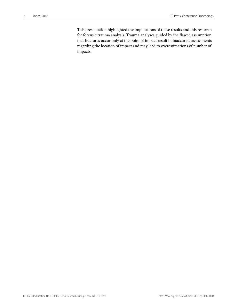This presentation highlighted the implications of these results and this research for forensic trauma analysis. Trauma analyses guided by the flawed assumption that fractures occur only at the point of impact result in inaccurate assessments regarding the location of impact and may lead to overestimations of number of impacts.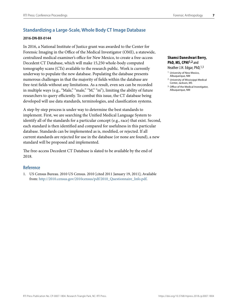# **Standardizing a Large-Scale, Whole Body CT Image Database**

### **2016-DN-BX-0144**

In 2016, a National Institute of Justice grant was awarded to the Center for Forensic Imaging in the Office of the Medical Investigator (OMI), a statewide, centralized medical examiner's office for New Mexico, to create a free-access Decedent CT Database, which will make 15,250 whole-body computed tomography scans (CTs) available to the research public. Work is currently underway to populate the new database. Populating the database presents numerous challenges in that the majority of fields within the database are free-text fields without any limitations. As a result, even sex can be recorded in multiple ways (e.g., "Male," "male," "M," "m"), limiting the ability of future researchers to query efficiently. To combat this issue, the CT database being developed will use data standards, terminologies, and classification systems.

A step-by-step process is under way to determine the best standards to implement. First, we are searching the Unified Medical Language System to identify all of the standards for a particular concept (e.g., race) that exist. Second, each standard is then identified and compared for usefulness in this particular database. Standards can be implemented as is, modified, or rejected. If all current standards are rejected for use in the database (or none are found), a new standard will be proposed and implemented.

The free-access Decedent CT Database is slated to be available by the end of 2018.

# **Reference**

1. US Census Bureau. 2010 US Census. 2010 [cited 2011 January 19, 2011]; Available from: http://2010.census.gov/2010census/pdf/2010\_Questionnaire\_Info.pdf.

# **Shamsi Daneshvari Berry,**  PhD, MS, CPHI<sup>1,2</sup> and Heather J.H. Edgar, PhD, <sup>1,3</sup>

- 1 University of New Mexico, Albuquerque, NM
- 2 University of Mississippi Medical Center, Jackson, MS
- 3 Office of the Medical Investigator, Albuquerque, NM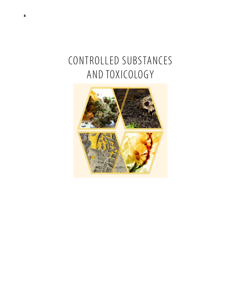# CONTROLLED SUBSTANCES AND TOXICOLOGY

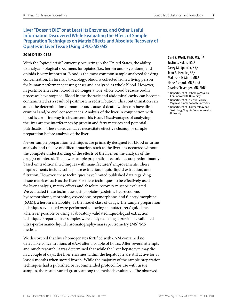# **Liver "Doesn't DIE" or at Least its Enzymes, and Other Useful Information Discovered While Evaluating the Effect of Sample Preparation Techniques on Matrix Effects and Absolute Recovery of Opiates in Liver Tissue Using UPLC-MS/MS**

#### **2016-DN-BX-0148**

With the "opioid crisis" currently occurring in the United States, the ability to analyze biological specimens for opiates (i.e., heroin and oxycodone) and opioids is very important. Blood is the most common sample analyzed for drug concentration. In forensic toxicology, blood is collected from a living person for human performance testing cases and analyzed as whole blood. However, in postmortem cases, blood is no longer a true whole blood because bodily processes have stopped. Blood in the thoracic and abdominal cavity can become contaminated as a result of postmortem redistribution. This contamination can affect the determination of manner and cause of death, which can have dire criminal and/or civil consequences. Analysis of the liver in conjunction with blood is a routine way to circumvent this issue. Disadvantages of analyzing the liver are the interferences by protein and fatty matrices and potential putrification. These disadvantages necessitate effective cleanup or sample preparation before analysis of the liver.

Newer sample preparation techniques are primarily designed for blood or urine analysis, and the use of difficult matrices such as the liver has occurred without the complete understanding of the effects of the liver on the analysis of the drug(s) of interest. The newer sample preparation techniques are predominantly based on traditional techniques with manufacturers' improvements. These improvements include solid-phase extraction, liquid-liquid extraction, and filtration. However, these techniques have limited published data regarding tissue matrices such as the liver. For these techniques to be effectively used for liver analysis, matrix effects and absolute recovery must be evaluated. We evaluated these techniques using opiates (codeine, hydrocodone, hydromorphone, morphine, oxycodone, oxymorphone, and 6-acetylmorphine [6AM], a heroin metabolite) as the model class of drugs. The sample preparation techniques evaluated were performed following manufacturers' guidelines whenever possible or using a laboratory validated liquid-liquid extraction technique. Prepared liver samples were analyzed using a previously validated ultra-performance liquid chromatography-mass spectrometry (MS)/MS method.

We discovered that liver homogenates fortified with 6AM contained no detectable concentrations of 6AM after a couple of hours. After several attempts and much research, it was determined that while the liver hepatocyte may die in a couple of days, the liver enzymes within the hepatocyte are still active for at least 4 months when stored frozen. While the majority of the sample preparation techniques had a published or recommended protocol for use with tissue samples, the results varied greatly among the methods evaluated. The observed

#### **Carl E. Wolf, PhD, MS,1,2**

Justin L. Poklis, BS, 3 Casey M. Spencer, BS,2 Jean A. Heneks, BS,2 Makinzie D. Mott, MD,1 Hope Richard, MD,<sup>1</sup> and Charles Clevenger, MD, PhD1

- 1 Department of Pathology, Virginia Commonwealth University
- 2 Department of Forensic Science, Virginia Commonwealth University
- 3 Department of Pharmacology and Toxicology, Virginia Commonwealth University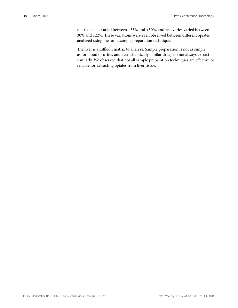matrix effects varied between −35% and +50%, and recoveries varied between 30% and 122%. These variations were even observed between different opiates analyzed using the same sample preparation technique.

The liver is a difficult matrix to analyze. Sample preparation is not as simple as for blood or urine, and even chemically similar drugs do not always extract similarly. We observed that not all sample preparation techniques are effective or reliable for extracting opiates from liver tissue.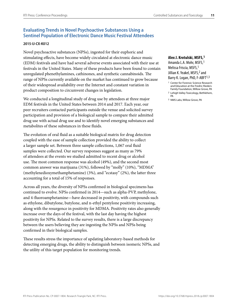# **Evaluating Trends in Novel Psychoactive Substances Using a Sentinel Population of Electronic Dance Music Festival Attendees**

#### **2015-IJ-CX-K012**

Novel psychoactive substances (NPSs), ingested for their euphoric and stimulating effects, have become widely circulated at electronic dance music (EDM) festivals and have had several adverse events associated with their use at festivals in the United States. Many of these products have been found to contain unregulated phenethylamines, cathinones, and synthetic cannabinoids. The range of NPSs currently available on the market has continued to grow because of their widespread availability over the Internet and constant variation in product composition to circumvent changes in legislation.

We conducted a longitudinal study of drug use by attendees at three major EDM festivals in the United States between 2014 and 2017. Each year, our peer recruiters contacted participants outside the venue and solicited survey participation and provision of a biological sample to compare their admitted drug use with actual drug use and to identify novel emerging substances and metabolites of these substances in these fluids.

The evolution of oral fluid as a suitable biological matrix for drug detection coupled with the ease of sample collection provided the ability to collect a larger sample set. Between three sample collections, 1,067 oral fluid samples were collected. Our survey responses suggest as many as 79% of attendees at the events we studied admitted to recent drug or alcohol use. The most common response was alcohol (49%), and the second most common answer was marijuana (31%), followed by "molly" (10%), "MDMA" (methylenedioxymethamphetamine) (3%), and "ecstasy" (2%), the latter three accounting for a total of 15% of responses.

Across all years, the diversity of NPSs confirmed in biological specimens has continued to evolve. NPSs confirmed in 2014—such as alpha-PVP, methylone, and 4-fluoroamphetamine—have decreased in positivity, with compounds such as ethylone, dibutylone, butylone, and n-ethyl pentylone positivity increasing, along with the resurgence in positivity for MDMA. Positivity rates also generally increase over the days of the festival, with the last day having the highest positivity for NPSs. Related to the survey results, there is a large discrepancy between the users believing they are ingesting the NPSs and NPSs being confirmed in their biological samples.

These results stress the importance of updating laboratory-based methods for detecting emerging drugs, the ability to distinguish between isomeric NPSs, and the utility of this target population for monitoring trends.

#### **Alex J. Krotulski, MSFS,1**

Amanda L.A. Mohr, MSFS,1 Melissa Friscia, MSFS, <sup>1</sup> Jillian K. Yeakel, MSFS,<sup>2</sup> and Barry K. Logan, PhD, F-ABFT<sup>1,3</sup>

<sup>1</sup> Center for Forensic Science Research and Education at the Fredric Rieders Family Foundation, Willow Grove, PA

<sup>2</sup> Lehigh Valley Toxicology, Bethlehem, PA

<sup>3</sup> NMS Labs, Willow Grove, PA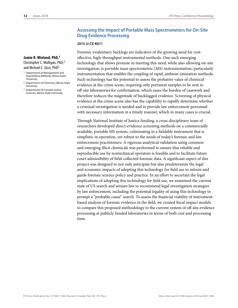# **Assessing the Impact of Portable Mass Spectrometers for On-Site Drug Evidence Processing**

#### **2015-IJ-CX-K011**

Forensic evidentiary backlogs are indicative of the growing need for costeffective, high-throughput instrumental methods. One such emerging technology that shows promise in meeting this need, while also allowing on-site investigation, is portable mass spectrometric (MS) instrumentation, particularly instrumentation that enables the coupling of rapid, ambient ionization methods. Such technology has the potential to assess the probative value of chemical evidence at the crime scene, requiring only pertinent samples to be sent to off-site laboratories for confirmation, which eases the burden of casework and therefore reduces the magnitude of backlogged evidence. Screening of physical evidence at the crime scene also has the capability to rapidly determine whether a criminal investigation is needed and to provide law enforcement personnel with necessary information in a timely manner, which in many cases is crucial.

Through National Institute of Justice funding, a cross-disciplinary team of researchers developed direct-evidence screening methods on a commercially available, portable MS system, culminating in a fieldable instrument that is simplistic in operation, yet robust to the needs of today's forensic and law enforcement practitioners. A rigorous analytical validation using common and emerging illicit chemicals was performed to ensure that reliable and reproducible use by nontechnical operators is feasible and to facilitate future court admissibility of field-collected forensic data. A significant aspect of this project was designed to not only anticipate but also predetermine the legal and economic impacts of adopting this technology for field use to inform and guide forensic science policy and practice. In an effort to ascertain the legal implications of adopting this technology for field use, we examined the current state of US search and seizure law to recommend legal investigation strategies by law enforcement, including the potential legality of using this technology to prompt a "probable cause" search. To assess the financial viability of instrumentbased analysis of forensic evidence in the field, we created fiscal impact models to compare this proposed methodology to the current system of off-site evidence processing at publicly funded laboratories in terms of both cost and processing time.

**Jamie R. Wieland, PhD,1** Christopher C. Mulligan, PhD,2 and Michael C. Gizzi, PhD3

- 1 Department of Management and Quantitative Methods, Illinois State University
- 2 Department of Chemistry, Illinois State University
- 3 Department of Criminal Justice Sciences, Illinois State University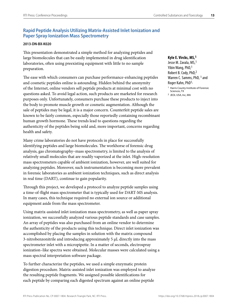# **Rapid Peptide Analysis Utilizing Matrix-Assisted Inlet Ionization and Paper Spray Ionization Mass Spectrometry**

# **2013-DN-BX-K020**

This presentation demonstrated a simple method for analyzing peptides and large biomolecules that can be easily implemented in drug identification laboratories, often using preexisting equipment with little to no sample preparation.

The ease with which consumers can purchase performance-enhancing peptides and cosmetic peptides online is astounding. Hidden behind the anonymity of the Internet, online vendors sell peptide products at minimal cost with no questions asked. To avoid legal action, such products are marketed for research purposes only. Unfortunately, consumers purchase these products to inject into the body to promote muscle growth or cosmetic augmentation. Although the sale of peptides may be legal, it is a major concern. Counterfeit peptide sales are known to be fairly common, especially those reportedly containing recombinant human growth hormone. These trends lead to questions regarding the authenticity of the peptides being sold and, more important, concerns regarding health and safety.

Many crime laboratories do not have protocols in place for successfully identifying peptides and large biomolecules. The workhorse of forensic drug analysis, gas chromatography–mass spectrometry, is limited to the analysis of relatively small molecules that are readily vaporized at the inlet. High-resolution mass spectrometers capable of ambient ionization, however, are well suited for analyzing peptides. Moreover, such instrumentation is becoming more prevalent in forensic laboratories as ambient ionization techniques, such as direct analysis in real time (DART), continue to gain popularity.

Through this project, we developed a protocol to analyze peptide samples using a time-of-flight mass spectrometer that is typically used for DART-MS analysis. In many cases, this technique required no external ion source or additional equipment aside from the mass spectrometer.

Using matrix-assisted inlet ionization mass spectrometry, as well as paper spray ionization, we successfully analyzed various peptide standards and case samples. An array of peptides was also purchased from an online vendor to determine the authenticity of the products using this technique. Direct inlet ionization was accomplished by placing the samples in solution with the matrix compound 3-nitrobenzonitrile and introducing approximately 5 µL directly into the mass spectrometer inlet with a micropipette. In a matter of seconds, electrospray ionization–like spectra were obtained. Molecular masses were calculated using a mass spectral interpretation software package.

To further characterize the peptides, we used a simple enzymatic protein digestion procedure. Matrix-assisted inlet ionization was employed to analyze the resulting peptide fragments. We assigned possible identifications for each peptide by comparing each digested spectrum against an online peptide

#### **Kyle E. Vircks, MS,1**

Jesse M. Zavala, MS,1 Yibin Wang, PhD,<sup>1</sup> Robert B. Cody, PhD,2 Warren C. Samms, PhD, <sup>1</sup> and Roger Kahn, PhD1, 1 Harris County Institute of Forensic Sciences, TX

<sup>2</sup> JEOL USA, Inc, MA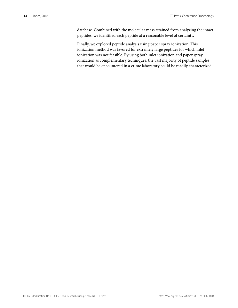database. Combined with the molecular mass attained from analyzing the intact peptides, we identified each peptide at a reasonable level of certainty.

Finally, we explored peptide analysis using paper spray ionization. This ionization method was favored for extremely large peptides for which inlet ionization was not feasible. By using both inlet ionization and paper spray ionization as complementary techniques, the vast majority of peptide samples that would be encountered in a crime laboratory could be readily characterized.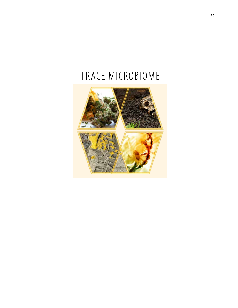# TRACE MICROBIOME

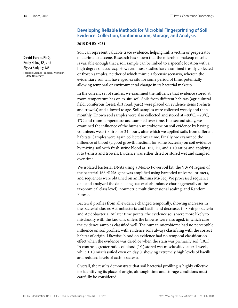# **Developing Reliable Methods for Microbial Fingerprinting of Soil Evidence: Collection, Contamination, Storage, and Analysis**

#### **2015-DN-BX-K031**

Soil can represent valuable trace evidence, helping link a victim or perpetrator of a crime to a scene. Research has shown that the microbial makeup of soils is variable enough that a soil sample can be linked to a specific location with a high degree of accuracy. However, most studies have examined freshly collected or frozen samples, neither of which mimic a forensic scenario, wherein the evidentiary soil will have aged ex situ for some period of time, potentially allowing temporal or environmental change in its bacterial makeup.

In the current set of studies, we examined the influence that evidence stored at room temperature has on ex situ soil. Soils from different habitats (agricultural field, coniferous forest, dirt road, yard) were placed on evidence items (t-shirts and trowels) and allowed to age. Soil samples were collected weekly and then monthly. Known soil samples were also collected and stored at −80°C, −20°C, 4°C, and room temperature and sampled over time. In a second study, we examined the influence of the human microbiome on soil evidence by having volunteers wear t-shirts for 24 hours, after which we applied soils from different habitats. Samples were again collected over time. Finally, we examined the influence of blood (a good growth medium for some bacteria) on soil evidence by mixing soil with fresh swine blood at 10:1, 1:1, and 1:10 ratios and applying it to t-shirts and trowels. Evidence was either dried or stored wet and sampled over time.

We isolated bacterial DNAs using a MoBio PowerSoil kit, the V3/V4 region of the bacterial 16S rRNA gene was amplified using barcoded universal primers, and sequences were obtained on an Illumina Mi-Seq. We processed sequence data and analyzed the data using bacterial abundance charts (generally at the taxonomical class level), nonmetric multidimensional scaling, and Random Forests.

Bacterial profiles from all evidence changed temporally, showing increases in the bacterial classes Actinobacteria and bacilli and decreases in Sphingobacteria and Acidobacteria. At later time points, the evidence soils were more likely to misclassify with the knowns, unless the knowns were also aged, in which case the evidence samples classified well. The human microbiome had no perceptible influence on soil profiles, with evidence soils always classifying with the correct habitat of origin. Likewise, blood on evidence had no temporal classification effect when the evidence was dried or when the stain was primarily soil (10:1). In contrast, greater ratios of blood (1:1) stored wet misclassified after 1 week, while 1:10 misclassified even on day 0, showing extremely high levels of bacilli and reduced levels of actinobacteria.

Overall, the results demonstrate that soil bacterial profiling is highly effective for identifying its place of origin, although time and storage conditions must carefully be considered.

**David Foran, PhD,** Emily Heinz, BS, and Alyssa Badgley, MS Forensic Science Program, Michigan State University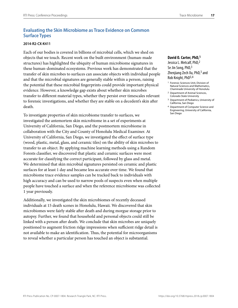# **Evaluating the Skin Microbiome as Trace Evidence on Common Surface Types**

#### **2014-R2-CX-K411**

Each of our bodies is covered in billions of microbial cells, which we shed on objects that we touch. Recent work on the built environment (human-made structures) has highlighted the ubiquity of human microbiome signatures in these human-dominated ecosystems. Previous work has demonstrated that the transfer of skin microbes to surfaces can associate objects with individual people and that the microbial signatures are generally stable within a person, raising the potential that these microbial fingerprints could provide important physical evidence. However, a knowledge gap exists about whether skin microbes transfer to different material types, whether they persist over timescales relevant to forensic investigations, and whether they are stable on a decedent's skin after death.

To investigate properties of skin microbiome transfer to surfaces, we investigated the antemortem skin microbiome in a set of experiments at University of California, San Diego, and the postmortem microbiome in collaboration with the City and County of Honolulu Medical Examiner. At University of California, San Diego, we investigated the effect of surface type (wood, plastic, metal, glass, and ceramic tiles) on the ability of skin microbes to transfer to an object. By applying machine learning methods using a Random Forests classifier, we discovered that plastic and ceramic surfaces were most accurate for classifying the correct participant, followed by glass and metal. We determined that skin microbial signatures persisted on ceramic and plastic surfaces for at least 1 day and became less accurate over time. We found that microbiome trace evidence samples can be tracked back to individuals with high accuracy and can be used to narrow pools of suspects even when multiple people have touched a surface and when the reference microbiome was collected 1 year previously.

Additionally, we investigated the skin microbiomes of recently deceased individuals at 15 death scenes in Honolulu, Hawaii. We discovered that skin microbiomes were fairly stable after death and during morgue storage prior to autopsy. Further, we found that household and personal objects could still be linked with a person after death. We conclude that skin microbes are uniquely positioned to augment friction ridge impressions when sufficient ridge detail is not available to make an identification. Thus, the potential for microorganisms to reveal whether a particular person has touched an object is substantial.

# **David O. Carter, PhD,1**

Jessica L. Metcalf, PhD,2 Se Jin Song, PhD, 3 Zhenjiang Zech Xu, PhD,<sup>3</sup> and Rob Knight, PhD3,4

- 1 Forensic Sciences Unit, Division of Natural Sciences and Mathematics, Chaminade University of Honolulu
- 2 Department of Animal Sciences, Colorado State University
- 3 Department of Pediatrics, University of California, San Diego
- 4 Department of Computer Science and Engineering, University of California, San Diego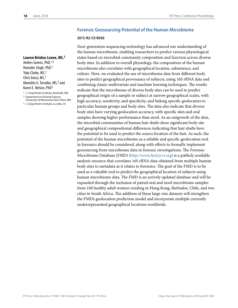# **Forensic Geosourcing Potential of the Human Microbiome**

#### **2015-R2-CX-K036**

Next-generation sequencing technology has advanced our understanding of the human microbiome, enabling researchers to predict various physiological states based on microbial community composition and function across diverse body sites. In addition to overall physiology, the composition of the human microbiome also correlates with geographical location, subsistence, and culture. Here, we evaluated the use of microbiome data from different body sites to predict geographical provenance of subjects, using 16S rRNA data and combining classic multivariate and machine learning techniques. The results indicate that the microbiome of diverse body sites can be used to predict geographical origin of a sample or subject at narrow geographical scales, with high accuracy, sensitivity, and specificity, and linking specific geolocators to particular human groups and body sites. The data also indicate that diverse body sites have varying geolocation accuracy, with specific skin and oral samples showing higher performance than stool. As an outgrowth of the skin, the microbial communities of human hair shafts show significant body site and geographical compositional differences indicating that hair shafts have the potential to be used to predict the source location of the hair. As such, the potential of the human microbiome as a reliable and specific geolocation tool in forensics should be considered, along with efforts to formally implement geosourcing from microbiome data in forensic investigations. The Forensic Microbiome Database (FMD) (http://www.fmd.jcvi.org) is a publicly available analysis resource that correlates 16S rRNA data obtained from multiple human body sites to metadata as it relates to forensics. The goal of the FMD is to be used as a valuable tool to predict the geographical location of subjects using human microbiome data. The FMD is an actively updated database and will be expanded through the inclusion of paired oral and stool microbiome samples from 100 healthy adult women residing in Hong Kong, Barbados, Chile, and two cities in South Africa. The addition of these large-size datasets will strengthen the FMD's geolocation prediction model and incorporate multiple currently underrepresented geographical locations worldwide.

# **Lauren Brinkac Leone, MS,1**

Andres Gomez, PhD,1,2 Harinder Singh, PhD,<sup>1</sup> Toby Clarke, MS,1 Chris Greco, MS,1 Manolito G. Torralba, MS,<sup>3</sup> and Karen E. Nelson, PhD1

1 J. Craig Venter Institute, Rockville, MD

2 Department of Animal Science,

University of Minnesota-Twin Cities, MN 3 J. Craig Venter Institute, La Jolla, CA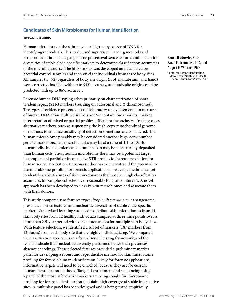# **Candidates of Skin Microbiomes for Human Identification**

#### **2015-NE-BX-K006**

Human microflora on the skin may be a high-copy source of DNA for identifying individuals. This study used supervised learning methods and Propionibacterium acnes pangenome presence/absence features and nucleotide diversities of stable clade-specific markers to determine classification accuracies of the microbial source. The hidSkinPlex was developed and evaluated on bacterial control samples and then on eight individuals from three body sites. All samples (n =72) regardless of body site origin (foot, manubrium, and hand) were correctly classified with up to 94% accuracy, and body site origin could be predicted with up to 86% accuracy.

Forensic human DNA typing relies primarily on characterization of short tandem repeat (STR) markers (residing on autosomal and Y chromosomes). The types of evidence presented to the laboratory today often contain mixtures of human DNA from multiple sources and/or contain low amounts, making interpretation of mixed or partial profiles difficult or inconclusive. In these cases, alternative markers, such as sequencing the high-copy mitochondrial genome, or methods to enhance sensitivity of detection sometimes are considered. The human microbiome possibly may be considered another high-copy number genetic marker because microbial cells may be at a ratio of 1:1 to 10:1 to human cells. Indeed, microbes on human skin may be more readily deposited than human cells. Thus, human microbiome flora may be a potential target to complement partial or inconclusive STR profiles to increase resolution for human source attribution. Previous studies have demonstrated the potential to use microbiome profiling for forensic applications; however, a method has yet to identify stable features of skin microbiomes that produce high classification accuracies for samples collected over reasonably long time intervals. A novel approach has been developed to classify skin microbiomes and associate them with their donors.

This study compared two features types: *Propionibacterium acnes* pangenome presence/absence features and nucleotide diversities of stable clade-specific markers. Supervised learning was used to attribute skin microbiomes from 14 skin body sites from 12 healthy individuals sampled at three time points over a more than 2.5-year period with various accuracies for multiple skin body sites. With feature selection, we identified a subset of markers (187 markers from 12 clades) from each body site that are highly individualizing. We compared the classification accuracies in a formal model testing framework, and the results indicate that nucleotide diversity performed better than presence/ absence encodings. These selected features provided a preliminary marker panel for developing a robust and reproducible method for skin microbiome profiling for forensic human identification. Likely for forensic applications, informative targets will need to be enriched, because they are for current human identification methods. Targeted enrichment and sequencing using a panel of the most informative markers are being sought for microbiome profiling for forensic identification to obtain high coverage at stable informative sites. A multiplex panel has been designed and is being tested empirically

**Bruce Budowle, PhD,** Sarah E. Schmedes, PhD, and August E. Woerner, PhD Center for Human Identification, University of North Texas Health Science Center, Fort Worth, Texas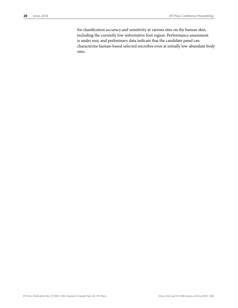for classification accuracy and sensitivity at various sites on the human skin, including the currently low-informative foot region. Performance assessment is under way, and preliminary data indicate that the candidate panel can characterize human-based selected microbes even at initially low-abundant body sites.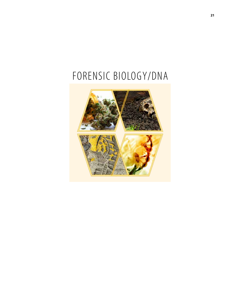# FORENSIC BIOLOGY/DNA

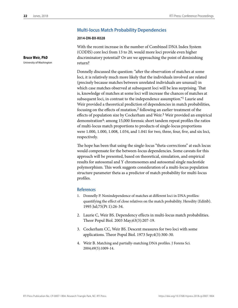# **Multi-locus Match Probability Dependencies**

#### **2014-DN-BX-K028**

With the recent increase in the number of Combined DNA Index System (CODIS) core loci from 13 to 20, would more loci provide even higher discriminatory potential? Or are we approaching the point of diminishing return?

Donnelly discussed the question: "after the observation of matches at some loci, it is relatively much more likely that the individuals involved are related (precisely because matches between unrelated individuals are unusual) in which case matches observed at subsequent loci will be less surprising. That is, knowledge of matches at some loci will increase the chances of matches at subsequent loci, in contrast to the independence assumption."1 Laurie and Weir provided a theoretical prediction of dependencies in match probabilities, focusing on the effects of mutation,2 following an earlier treatment of the effects of population size by Cockerham and Weir.<sup>3</sup> Weir provided an empirical demonstration4: among 15,000 forensic short tandem repeat profiles the ratios of multi-locus match proportions to products of single-locus proportions were 1.000, 1.000, 1.008, 1.034, and 1.041 for two, three, four, five, and six loci, respectively.

The hope has been that using the single-locus "theta-corrections" at each locus would compensate for the between-locus dependencies. Some caveats for this approach will be presented, based on theoretical, simulation, and empirical results for autosomal and Y chromosomes and autosomal single nucleotide polymorphism. This work suggests consideration of a multi-locus population structure parameter theta as a predictor of match probability for multi-locus profiles.

# **References**

- 1. Donnelly P. Nonindependence of matches at different loci in DNA profiles: quantifying the effect of close relatives on the match probability. Heredity (Edinb). 1995 Jul;75(Pt 1):26-34.
- 2. Laurie C, Weir BS. Dependency effects in multi-locus match probabilities. Theor Popul Biol. 2003 May;63(3):207-19.
- 3. Cockerham CC, Weir BS. Descent measures for two loci with some applications. Theor Popul Biol. 1973 Sep;4(3):300-30.
- 4. Weir B. Matching and partially-matching DNA profiles. J Forens Sci. 2004;49(5):1009-14.

**Bruce Weir, PhD**

University of Washington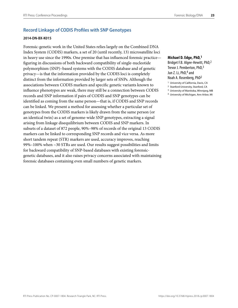# **Record Linkage of CODIS Profiles with SNP Genotypes**

### **2014-DN-BX-K015**

Forensic-genetic work in the United States relies largely on the Combined DNA Index System (CODIS) markers, a set of 20 (until recently, 13) microsatellite loci in heavy use since the 1990s. One premise that has influenced forensic practice figuring in discussions of both backward compatibility of single-nucleotide polymorphism (SNP)–based systems with the CODIS database and of genetic privacy—is that the information provided by the CODIS loci is completely distinct from the information provided by larger sets of SNPs. Although the associations between CODIS markers and specific genetic variants known to influence phenotypes are weak, there may still be a connection between CODIS records and SNP information if pairs of CODIS and SNP genotypes can be identified as coming from the same person—that is, if CODIS and SNP records can be linked. We present a method for assessing whether a particular set of genotypes from the CODIS markers is likely drawn from the same person (or an identical twin) as a set of genome-wide SNP genotypes, extracting a signal arising from linkage disequilibrium between CODIS and SNP markers. In subsets of a dataset of 872 people, 90%–98% of records of the original 13 CODIS markers can be linked to corresponding SNP records and vice versa. As more short tandem repeat (STR) markers are used, accuracy improves, reaching 99%–100% when  $\sim$ 30 STRs are used. Our results suggest possibilities and limits for backward compatibility of SNP-based databases with existing forensicgenetic databases, and it also raises privacy concerns associated with maintaining forensic databases containing even small numbers of genetic markers.

# **Michael D. Edge, PhD,1**  Bridget F.B. Algee-Hewitt, PhD,2 Trevor J. Pemberton, PhD,<sup>3</sup> Jun Z. Li, PhD,4 and Noah A. Rosenberg, PhD2

- 1 University of California, Davis, CA
- 2 Stanford University, Stanford, CA
- 3 University of Manitoba, Winnipeg, MB
- 4 University of Michigan, Ann Arbor, MI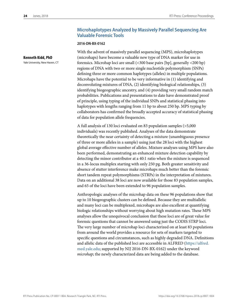**Kenneth Kidd, PhD** Yale University, New Haven, CT

# **Microhaplotypes Analyzed by Massively Parallel Sequencing Are Valuable Forensic Tools**

#### **2016-DN-BX-0162**

With the advent of massively parallel sequencing (MPS), microhaplotypes (microhaps) have become a valuable new type of DNA marker for use in forensics. Microhap loci are small (<300 base pairs [bp], generally <200 bp) regions of DNA with two or more single nucleotide polymorphism (SNPs) defining three or more common haplotypes (alleles) in multiple populations. Microhaps have the potential to be very informative in (1) identifying and deconvoluting mixtures of DNA, (2) identifying biological relationships, (3) identifying biogeographic ancestry, and (4) providing very small random match probabilities. Publications and presentations to date have demonstrated proof of principle, using typing of the individual SNPs and statistical phasing into haplotypes with lengths ranging from 11 bp to about 250 bp. MPS typing by collaborators has confirmed the broadly accepted accuracy of statistical phasing of data for population allele frequencies.

A full analysis of 130 loci evaluated on 83 population samples (>5,000 individuals) was recently published. Analyses of the data demonstrate theoretically the near certainty of detecting a mixture (unambiguous presence of three or more alleles in a sample) using just the 28 loci with the highest global average effective number of alleles. Mixture analyses using MPS have also been performed, demonstrating an enhanced mixture detection capability by detecting the minor contributor at a 40:1 ratio when the mixture is sequenced in a 36-locus multiplex starting with only 250 pg. Both greater sensitivity and absence of stutter interference make microhaps much better than the forensic short tandem repeat polymorphisms (STRPs) in the interpretation of mixtures. Data on an additional 38 loci are now available for those 83 population samples, and 65 of the loci have been extended to 96 population samples.

Anthropologic analyses of the microhap data on these 96 populations show that up to 10 biogeographic clusters can be defined. Because they are multiallelic and many loci can be multiplexed, microhaps are also excellent at quantifying biologic relationships without worrying about high mutation rates. These MPS analyses allow the unequivocal conclusion that these loci are of great value for forensic questions that cannot be answered using just the CODIS STRP loci. The very large number of microhap loci characterized on at least 83 populations from around the world provides a resource for sets of markers targeted to specific questions and circumstances, such as highly degraded DNA. Definitions and allelic data of the published loci are accessible in ALFRED (https://alfred. med.yale.edu; supported by NIJ 2016-DN-BX-0162) under the keyword *microhap*; the newly characterized data are being added to the database.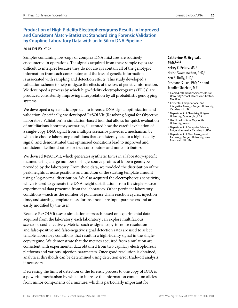# **Production of High-Fidelity Electropherograms Results in Improved and Consistent Match-Statistics: Standardizing Forensic Validation by Coupling Laboratory Data with an In Silico DNA Pipeline**

### **2014-DN-BX-K026**

Samples containing low-copy or complex DNA mixtures are routinely encountered in operations. The signals acquired from these sample types are difficult to interpret because they do not always contain all of the genotypic information from each contributor, and the loss of genetic information is associated with sampling and detection effects. This study developed a validation scheme to help mitigate the effects of the loss of genetic information. We developed a process by which high-fidelity electropherograms (EPGs) are produced consistently, improving interpretation by all probabilistic genotyping systems.

We developed a systematic approach to forensic DNA signal optimization and validation. Specifically, we developed ReSOLVIt (Resolving Signal for Objective Laboratory Validation), a simulation-based tool that allows for quick evaluation of multifarious laboratory scenarios, illustrated how the careful evaluation of a single-copy DNA signal from multiple scenarios provides a mechanism by which to choose laboratory conditions that consistently lead to a high-fidelity signal, and demonstrated that optimized conditions lead to improved and consistent likelihood ratios for true contributors and noncontributors.

We devised ReSOLVIt, which generates synthetic EPGs in a laboratory-specific manner, using a large number of single-source profiles of known genotype provided by the laboratory. From these data, we modeled the distribution of the peak heights at noise positions as a function of the starting template amount using a log-normal distribution. We also acquired the electrophoresis sensitivity, which is used to generate the DNA height distribution, from the single-source experimental data procured from the laboratory. Other pertinent laboratory conditions—such as the number of polymerase chain reaction cycles, injection time, and starting template mass, for instance—are input parameters and are easily modified by the user.

Because ReSOLVIt uses a simulation approach based on experimental data acquired from the laboratory, each laboratory can explore multifarious scenarios cost-effectively. Metrics such as signal copy-to-noise resolution and false-positive and false-negative signal detection rates are used to select tenable laboratory conditions that result in a high-fidelity signal in the singlecopy regime. We demonstrate that the metrics acquired from simulation are consistent with experimental data obtained from two capillary electrophoresis platforms and various injection parameters. Once good resolution is obtained, analytical thresholds can be determined using detection error trade-off analysis, if necessary.

Decreasing the limit of detection of the forensic process to one copy of DNA is a powerful mechanism by which to increase the information content on alleles from minor components of a mixture, which is particularly important for

### **Catherine M. Grgicak, PhD,1,2,3**

Kelsey C. Peters, MS, <sup>1</sup> Harish Swaminathan, PhD,1 Ken R. Duffy, PhD,4 Desmond S. Lun, PhD, 2,5,6 and Jennifer Sheehan, MS1

- 1 Biomedical Forensic Sciences, Boston University School of Medicine, Boston, MA, USA
- 2 Center for Computational and Integrative Biology, Rutgers University, Camden, NJ, USA
- 3 Department of Chemistry, Rutgers University, Camden, NJ, USA
- 4 Hamilton Institute, Maynooth University, Ireland
- 5 Department of Computer Science, Rutgers University, Camden, NJ,USA
- 6 Department of Plant Biology and Pathology, Rutgers University, New Brunswick, NJ, USA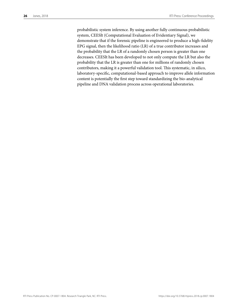probabilistic system inference. By using another fully continuous probabilistic system, CEESIt (Computational Evaluation of Evidentiary Signal), we demonstrate that if the forensic pipeline is engineered to produce a high-fidelity EPG signal, then the likelihood ratio (LR) of a true contributor increases and the probability that the LR of a randomly chosen person is greater than one decreases. CEESIt has been developed to not only compute the LR but also the probability that the LR is greater than one for millions of randomly chosen contributors, making it a powerful validation tool. This systematic, in silico, laboratory-specific, computational-based approach to improve allele information content is potentially the first step toward standardizing the bio-analytical pipeline and DNA validation process across operational laboratories.